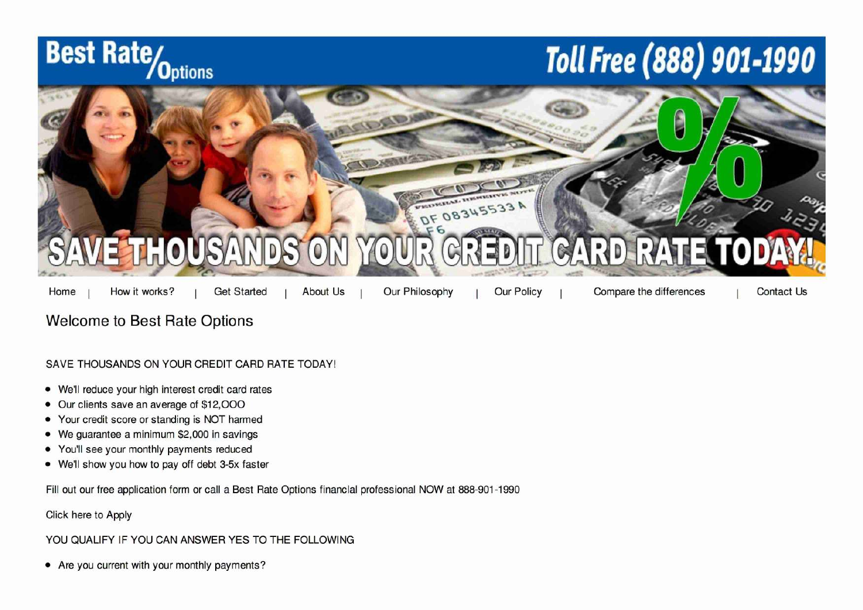



## Welcome to Best Rate Options

## SAVE THOUSANDS ON YOUR CREDIT CARD RATE TODAY!

- We'll reduce your high interest credit card rates
- Our clients save an average of \$12,000
- Your credit score or standing is NOT harmed
- We guarantee a minimum \$2,000 in savings
- You'll see your monthly payments reduced
- We'll show you how to pay off debt 3-5x faster

Fill out our free application form or call a Best Rate Options financial professional NOW at 888-901-1990

Click here to Apply

## YOU QUALIFY IF YOU CAN ANSWER YES TO THE FOLLOWING

**•** Are you current with your monthly payments?